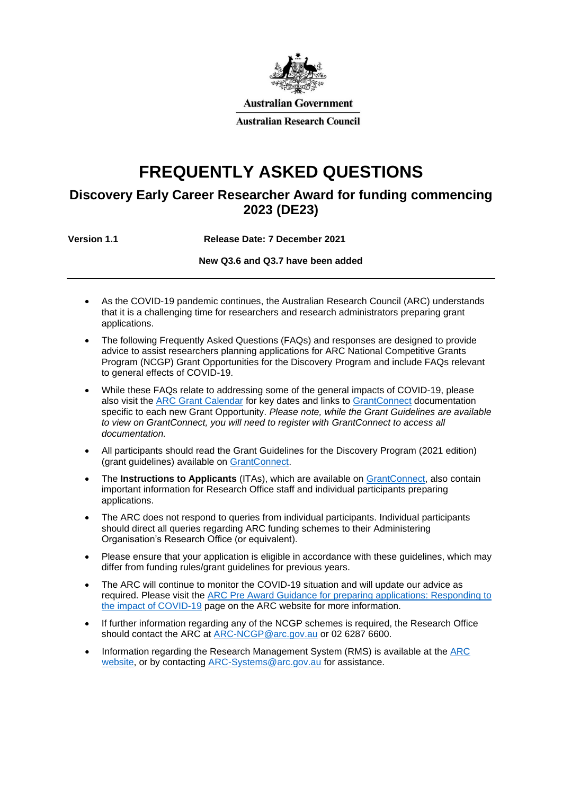

# **FREQUENTLY ASKED QUESTIONS**

# **Discovery Early Career Researcher Award for funding commencing 2023 (DE23)**

**Version 1.1 Release Date: 7 December 2021**

**New Q3.6 and Q3.7 have been added**

- As the COVID-19 pandemic continues, the Australian Research Council (ARC) understands that it is a challenging time for researchers and research administrators preparing grant applications.
- The following Frequently Asked Questions (FAQs) and responses are designed to provide advice to assist researchers planning applications for ARC National Competitive Grants Program (NCGP) Grant Opportunities for the Discovery Program and include FAQs relevant to general effects of COVID-19.
- While these FAQs relate to addressing some of the general impacts of COVID-19, please also visit the [ARC Grant Calendar](https://www.arc.gov.au/grants/grant-calendar/important-dates-arc-grant-application-process) for key dates and links to [GrantConnect](https://www.grants.gov.au/) documentation specific to each new Grant Opportunity. *Please note, while the Grant Guidelines are available to view on GrantConnect, you will need to register with GrantConnect to access all documentation.*
- All participants should read the Grant Guidelines for the Discovery Program (2021 edition) (grant guidelines) available on [GrantConnect.](https://www.grants.gov.au/)
- The **Instructions to Applicants** (ITAs), which are available on [GrantConnect,](https://www.grants.gov.au/) also contain important information for Research Office staff and individual participants preparing applications.
- The ARC does not respond to queries from individual participants. Individual participants should direct all queries regarding ARC funding schemes to their Administering Organisation's Research Office (or equivalent).
- Please ensure that your application is eligible in accordance with these guidelines, which may differ from funding rules/grant guidelines for previous years.
- The ARC will continue to monitor the COVID-19 situation and will update our advice as required. Please visit the [ARC Pre Award Guidance for preparing applications: Responding to](https://www.arc.gov.au/grants/grant-administration/arc-response-covid-19/arc-pre-award-guidance-preparing-applications-responding-impact-covid-19)  [the impact of COVID-19](https://www.arc.gov.au/grants/grant-administration/arc-response-covid-19/arc-pre-award-guidance-preparing-applications-responding-impact-covid-19) page on the ARC website for more information.
- If further information regarding any of the NCGP schemes is required, the Research Office should contact the ARC at [ARC-NCGP@arc.gov.au](mailto:ARC-NCGP@arc.gov.au) or 02 6287 6600.
- Information regarding the Research Management System (RMS) is available at the [ARC](https://www.arc.gov.au/grants/rms-information) [website,](https://www.arc.gov.au/grants/rms-information) or by contacting [ARC-Systems@arc.gov.au](mailto:ARC-Systems@arc.gov.au) for assistance.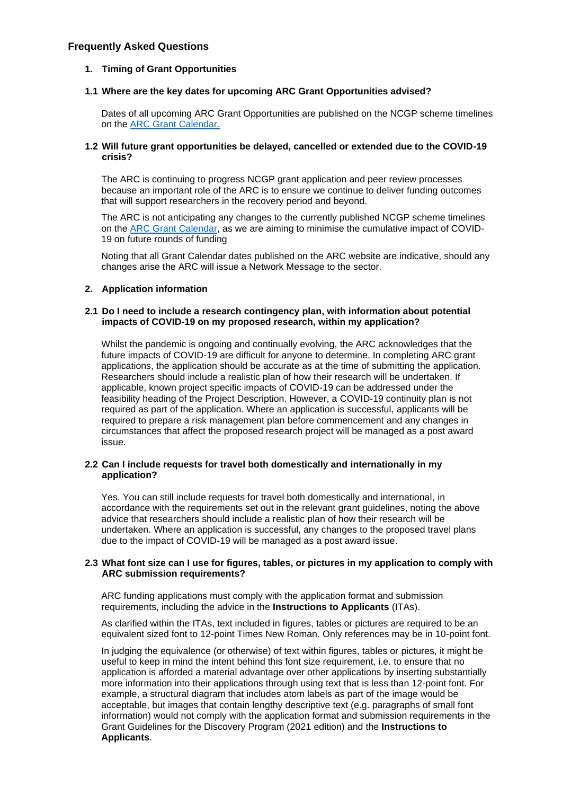# **Frequently Asked Questions**

# **1. Timing of Grant Opportunities**

# **1.1 Where are the key dates for upcoming ARC Grant Opportunities advised?**

Dates of all upcoming ARC Grant Opportunities are published on the NCGP scheme timelines on the [ARC Grant Calendar.](https://www.arc.gov.au/grants/grant-calendar)

# **1.2 Will future grant opportunities be delayed, cancelled or extended due to the COVID-19 crisis?**

The ARC is continuing to progress NCGP grant application and peer review processes because an important role of the ARC is to ensure we continue to deliver funding outcomes that will support researchers in the recovery period and beyond.

The ARC is not anticipating any changes to the currently published NCGP scheme timelines on the [ARC Grant Calendar,](https://www.arc.gov.au/grants/grant-calendar) as we are aiming to minimise the cumulative impact of COVID-19 on future rounds of funding

Noting that all Grant Calendar dates published on the ARC website are indicative, should any changes arise the ARC will issue a Network Message to the sector.

# **2. Application information**

# **2.1 Do I need to include a research contingency plan, with information about potential impacts of COVID-19 on my proposed research, within my application?**

Whilst the pandemic is ongoing and continually evolving, the ARC acknowledges that the future impacts of COVID-19 are difficult for anyone to determine. In completing ARC grant applications, the application should be accurate as at the time of submitting the application. Researchers should include a realistic plan of how their research will be undertaken. If applicable, known project specific impacts of COVID-19 can be addressed under the feasibility heading of the Project Description. However, a COVID-19 continuity plan is not required as part of the application. Where an application is successful, applicants will be required to prepare a risk management plan before commencement and any changes in circumstances that affect the proposed research project will be managed as a post award issue.

#### **2.2 Can I include requests for travel both domestically and internationally in my application?**

Yes. You can still include requests for travel both domestically and international, in accordance with the requirements set out in the relevant grant guidelines, noting the above advice that researchers should include a realistic plan of how their research will be undertaken. Where an application is successful, any changes to the proposed travel plans due to the impact of COVID-19 will be managed as a post award issue.

#### **2.3 What font size can I use for figures, tables, or pictures in my application to comply with ARC submission requirements?**

ARC funding applications must comply with the application format and submission requirements, including the advice in the **Instructions to Applicants** (ITAs).

As clarified within the ITAs, text included in figures, tables or pictures are required to be an equivalent sized font to 12-point Times New Roman. Only references may be in 10-point font.

In judging the equivalence (or otherwise) of text within figures, tables or pictures, it might be useful to keep in mind the intent behind this font size requirement, i.e. to ensure that no application is afforded a material advantage over other applications by inserting substantially more information into their applications through using text that is less than 12-point font. For example, a structural diagram that includes atom labels as part of the image would be acceptable, but images that contain lengthy descriptive text (e.g. paragraphs of small font information) would not comply with the application format and submission requirements in the Grant Guidelines for the Discovery Program (2021 edition) and the **Instructions to Applicants**.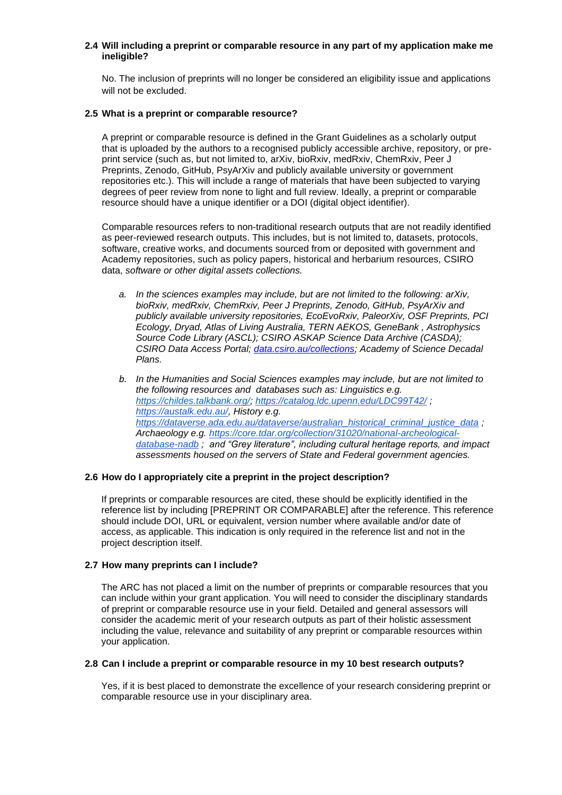# **2.4 Will including a preprint or comparable resource in any part of my application make me ineligible?**

No. The inclusion of preprints will no longer be considered an eligibility issue and applications will not be excluded.

#### **2.5 What is a preprint or comparable resource?**

A preprint or comparable resource is defined in the Grant Guidelines as a scholarly output that is uploaded by the authors to a recognised publicly accessible archive, repository, or preprint service (such as, but not limited to, arXiv, bioRxiv, medRxiv, ChemRxiv, Peer J Preprints, Zenodo, GitHub, PsyArXiv and publicly available university or government repositories etc.). This will include a range of materials that have been subjected to varying degrees of peer review from none to light and full review. Ideally, a preprint or comparable resource should have a unique identifier or a DOI (digital object identifier).

Comparable resources refers to non-traditional research outputs that are not readily identified as peer-reviewed research outputs. This includes, but is not limited to, datasets, protocols, software, creative works, and documents sourced from or deposited with government and Academy repositories, such as policy papers, historical and herbarium resources, CSIRO data, *software or other digital assets collections.*

- *a. In the sciences examples may include, but are not limited to the following: arXiv, bioRxiv, medRxiv, ChemRxiv, Peer J Preprints, Zenodo, GitHub, PsyArXiv and publicly available university repositories, EcoEvoRxiv, PaleorXiv, OSF Preprints, PCI Ecology, Dryad, Atlas of Living Australia, TERN AEKOS, GeneBank , Astrophysics Source Code Library (ASCL); CSIRO ASKAP Science Data Archive (CASDA); CSIRO Data Access Portal; [data.csiro.au/collections;](https://data.csiro.au/collections) Academy of Science Decadal Plans.*
- *b. In the Humanities and Social Sciences examples may include, but are not limited to the following resources and databases such as: Linguistics e.g. [https://childes.talkbank.org/;](https://childes.talkbank.org/)<https://catalog.ldc.upenn.edu/LDC99T42/> ; [https://austalk.edu.au/,](https://austalk.edu.au/) History e.g. [https://dataverse.ada.edu.au/dataverse/australian\\_historical\\_criminal\\_justice\\_data](https://dataverse.ada.edu.au/dataverse/australian_historical_criminal_justice_data) ; Archaeology e.g. [https://core.tdar.org/collection/31020/national-archeological](https://core.tdar.org/collection/31020/national-archeological-database-nadb)[database-nadb](https://core.tdar.org/collection/31020/national-archeological-database-nadb) ; and "Grey literature", including cultural heritage reports, and impact assessments housed on the servers of State and Federal government agencies.*

#### **2.6 How do I appropriately cite a preprint in the project description?**

If preprints or comparable resources are cited, these should be explicitly identified in the reference list by including [PREPRINT OR COMPARABLE] after the reference. This reference should include DOI, URL or equivalent, version number where available and/or date of access, as applicable. This indication is only required in the reference list and not in the project description itself.

#### **2.7 How many preprints can I include?**

The ARC has not placed a limit on the number of preprints or comparable resources that you can include within your grant application. You will need to consider the disciplinary standards of preprint or comparable resource use in your field. Detailed and general assessors will consider the academic merit of your research outputs as part of their holistic assessment including the value, relevance and suitability of any preprint or comparable resources within your application.

#### **2.8 Can I include a preprint or comparable resource in my 10 best research outputs?**

Yes, if it is best placed to demonstrate the excellence of your research considering preprint or comparable resource use in your disciplinary area.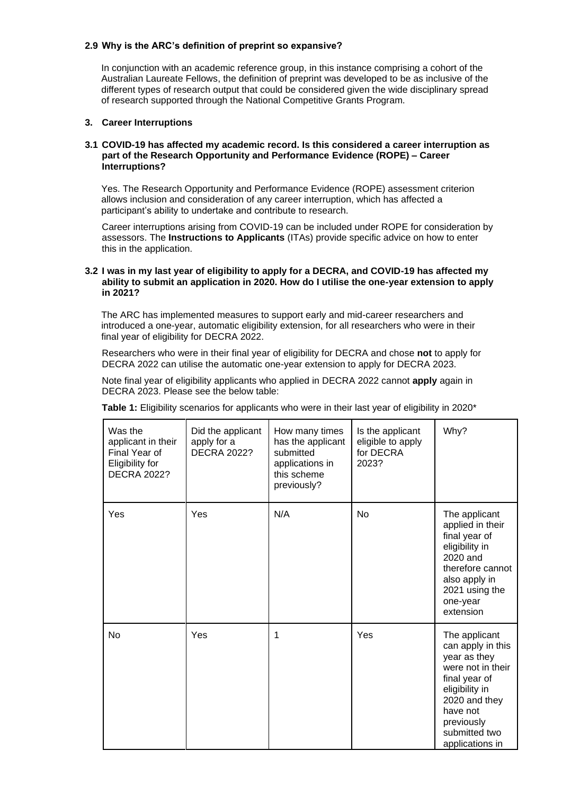# **2.9 Why is the ARC's definition of preprint so expansive?**

In conjunction with an academic reference group, in this instance comprising a cohort of the Australian Laureate Fellows, the definition of preprint was developed to be as inclusive of the different types of research output that could be considered given the wide disciplinary spread of research supported through the National Competitive Grants Program.

# **3. Career Interruptions**

#### **3.1 COVID-19 has affected my academic record. Is this considered a career interruption as part of the Research Opportunity and Performance Evidence (ROPE) – Career Interruptions?**

Yes. The Research Opportunity and Performance Evidence (ROPE) assessment criterion allows inclusion and consideration of any career interruption, which has affected a participant's ability to undertake and contribute to research.

Career interruptions arising from COVID-19 can be included under ROPE for consideration by assessors. The **Instructions to Applicants** (ITAs) provide specific advice on how to enter this in the application.

#### **3.2 I was in my last year of eligibility to apply for a DECRA, and COVID-19 has affected my ability to submit an application in 2020. How do I utilise the one-year extension to apply in 2021?**

The ARC has implemented measures to support early and mid-career researchers and introduced a one-year, automatic eligibility extension, for all researchers who were in their final year of eligibility for DECRA 2022.

Researchers who were in their final year of eligibility for DECRA and chose **not** to apply for DECRA 2022 can utilise the automatic one-year extension to apply for DECRA 2023.

Note final year of eligibility applicants who applied in DECRA 2022 cannot **apply** again in DECRA 2023. Please see the below table:

| Was the<br>applicant in their<br>Final Year of<br>Eligibility for<br><b>DECRA 2022?</b> | Did the applicant<br>apply for a<br><b>DECRA 2022?</b> | How many times<br>has the applicant<br>submitted<br>applications in<br>this scheme<br>previously? | Is the applicant<br>eligible to apply<br>for DECRA<br>2023? | Why?                                                                                                                                                                                      |
|-----------------------------------------------------------------------------------------|--------------------------------------------------------|---------------------------------------------------------------------------------------------------|-------------------------------------------------------------|-------------------------------------------------------------------------------------------------------------------------------------------------------------------------------------------|
| Yes                                                                                     | Yes                                                    | N/A                                                                                               | <b>No</b>                                                   | The applicant<br>applied in their<br>final year of<br>eligibility in<br>2020 and<br>therefore cannot<br>also apply in<br>2021 using the<br>one-year<br>extension                          |
| No                                                                                      | Yes                                                    | 1                                                                                                 | Yes                                                         | The applicant<br>can apply in this<br>year as they<br>were not in their<br>final year of<br>eligibility in<br>2020 and they<br>have not<br>previously<br>submitted two<br>applications in |

**Table 1:** Eligibility scenarios for applicants who were in their last year of eligibility in 2020\*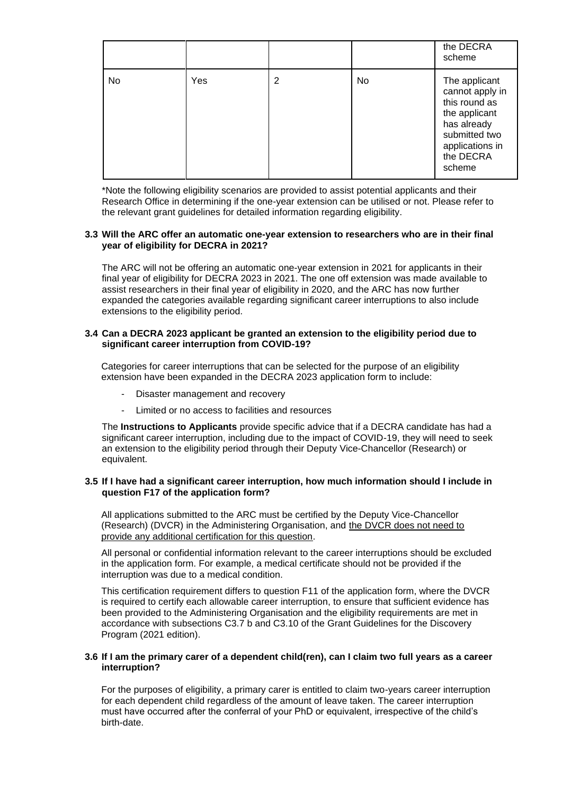|    |     |   |    | the DECRA<br>scheme                                                                                                                          |
|----|-----|---|----|----------------------------------------------------------------------------------------------------------------------------------------------|
| No | Yes | 2 | No | The applicant<br>cannot apply in<br>this round as<br>the applicant<br>has already<br>submitted two<br>applications in<br>the DECRA<br>scheme |

\*Note the following eligibility scenarios are provided to assist potential applicants and their Research Office in determining if the one-year extension can be utilised or not. Please refer to the relevant grant guidelines for detailed information regarding eligibility.

#### **3.3 Will the ARC offer an automatic one-year extension to researchers who are in their final year of eligibility for DECRA in 2021?**

The ARC will not be offering an automatic one-year extension in 2021 for applicants in their final year of eligibility for DECRA 2023 in 2021. The one off extension was made available to assist researchers in their final year of eligibility in 2020, and the ARC has now further expanded the categories available regarding significant career interruptions to also include extensions to the eligibility period.

#### **3.4 Can a DECRA 2023 applicant be granted an extension to the eligibility period due to significant career interruption from COVID-19?**

Categories for career interruptions that can be selected for the purpose of an eligibility extension have been expanded in the DECRA 2023 application form to include:

- Disaster management and recovery
- Limited or no access to facilities and resources

The **Instructions to Applicants** provide specific advice that if a DECRA candidate has had a significant career interruption, including due to the impact of COVID-19, they will need to seek an extension to the eligibility period through their Deputy Vice-Chancellor (Research) or equivalent.

#### **3.5 If I have had a significant career interruption, how much information should I include in question F17 of the application form?**

All applications submitted to the ARC must be certified by the Deputy Vice-Chancellor (Research) (DVCR) in the Administering Organisation, and the DVCR does not need to provide any additional certification for this question.

All personal or confidential information relevant to the career interruptions should be excluded in the application form. For example, a medical certificate should not be provided if the interruption was due to a medical condition.

This certification requirement differs to question F11 of the application form, where the DVCR is required to certify each allowable career interruption, to ensure that sufficient evidence has been provided to the Administering Organisation and the eligibility requirements are met in accordance with subsections C3.7 b and C3.10 of the Grant Guidelines for the Discovery Program (2021 edition).

#### **3.6 If I am the primary carer of a dependent child(ren), can I claim two full years as a career interruption?**

For the purposes of eligibility, a primary carer is entitled to claim two-years career interruption for each dependent child regardless of the amount of leave taken. The career interruption must have occurred after the conferral of your PhD or equivalent, irrespective of the child's birth-date.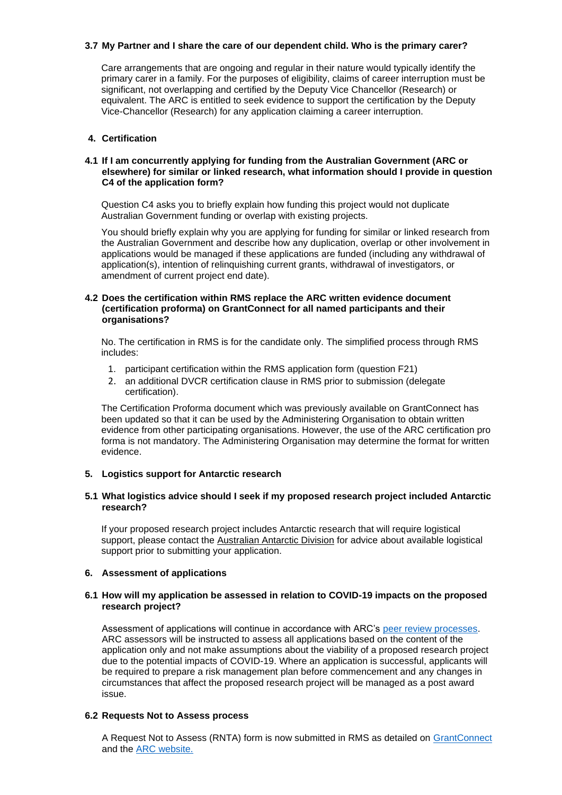# **3.7 My Partner and I share the care of our dependent child. Who is the primary carer?**

Care arrangements that are ongoing and regular in their nature would typically identify the primary carer in a family. For the purposes of eligibility, claims of career interruption must be significant, not overlapping and certified by the Deputy Vice Chancellor (Research) or equivalent. The ARC is entitled to seek evidence to support the certification by the Deputy Vice-Chancellor (Research) for any application claiming a career interruption.

#### **4. Certification**

#### **4.1 If I am concurrently applying for funding from the Australian Government (ARC or elsewhere) for similar or linked research, what information should I provide in question C4 of the application form?**

Question C4 asks you to briefly explain how funding this project would not duplicate Australian Government funding or overlap with existing projects.

You should briefly explain why you are applying for funding for similar or linked research from the Australian Government and describe how any duplication, overlap or other involvement in applications would be managed if these applications are funded (including any withdrawal of application(s), intention of relinquishing current grants, withdrawal of investigators, or amendment of current project end date).

# **4.2 Does the certification within RMS replace the ARC written evidence document (certification proforma) on GrantConnect for all named participants and their organisations?**

No. The certification in RMS is for the candidate only. The simplified process through RMS includes:

- 1. participant certification within the RMS application form (question F21)
- 2. an additional DVCR certification clause in RMS prior to submission (delegate certification).

The Certification Proforma document which was previously available on GrantConnect has been updated so that it can be used by the Administering Organisation to obtain written evidence from other participating organisations. However, the use of the ARC certification pro forma is not mandatory. The Administering Organisation may determine the format for written evidence.

#### **5. Logistics support for Antarctic research**

# **5.1 What logistics advice should I seek if my proposed research project included Antarctic research?**

If your proposed research project includes Antarctic research that will require logistical support, please contact the [Australian Antarctic Division](https://www.antarctica.gov.au/) for advice about available logistical support prior to submitting your application.

# **6. Assessment of applications**

#### **6.1 How will my application be assessed in relation to COVID-19 impacts on the proposed research project?**

Assessment of applications will continue in accordance with ARC's [peer review processes.](https://www.arc.gov.au/peer-review) ARC assessors will be instructed to assess all applications based on the content of the application only and not make assumptions about the viability of a proposed research project due to the potential impacts of COVID-19. Where an application is successful, applicants will be required to prepare a risk management plan before commencement and any changes in circumstances that affect the proposed research project will be managed as a post award issue.

#### **6.2 Requests Not to Assess process**

A Request Not to Assess (RNTA) form is now submitted in RMS as detailed on [GrantConnect](http://www.grants.gov.au/) and the ARC [website.](https://www.arc.gov.au/grants/grant-application/request-not-assess)